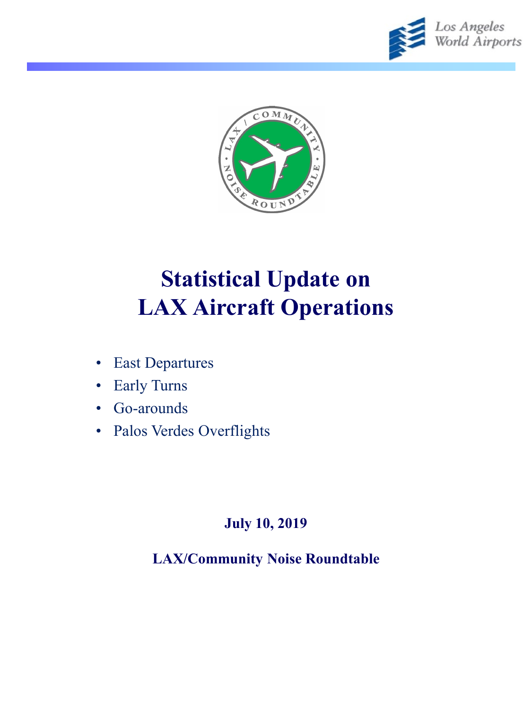



# **Statistical Update on LAX Aircraft Operations**

- East Departures
- Early Turns
- Go-arounds
- Palos Verdes Overflights

#### **July 10, 2019**

**LAX/Community Noise Roundtable**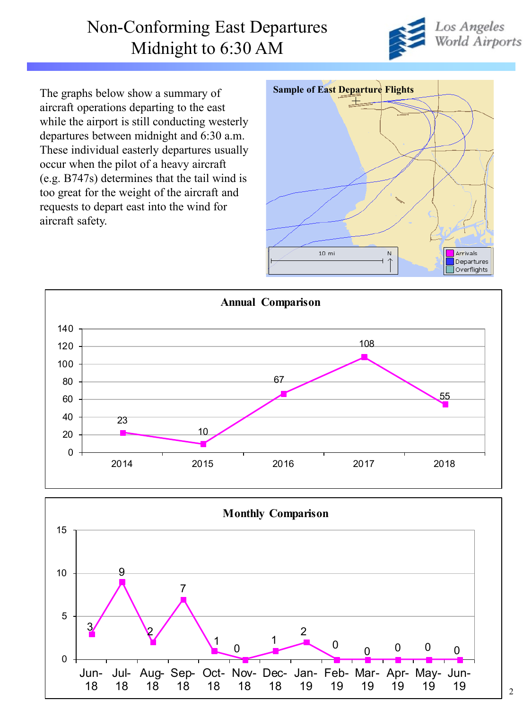#### Non-Conforming East Departures Midnight to 6:30 AM



The graphs below show a summary of aircraft operations departing to the east while the airport is still conducting westerly departures between midnight and 6:30 a.m. These individual easterly departures usually occur when the pilot of a heavy aircraft (e.g. B747s) determines that the tail wind is too great for the weight of the aircraft and requests to depart east into the wind for aircraft safety.





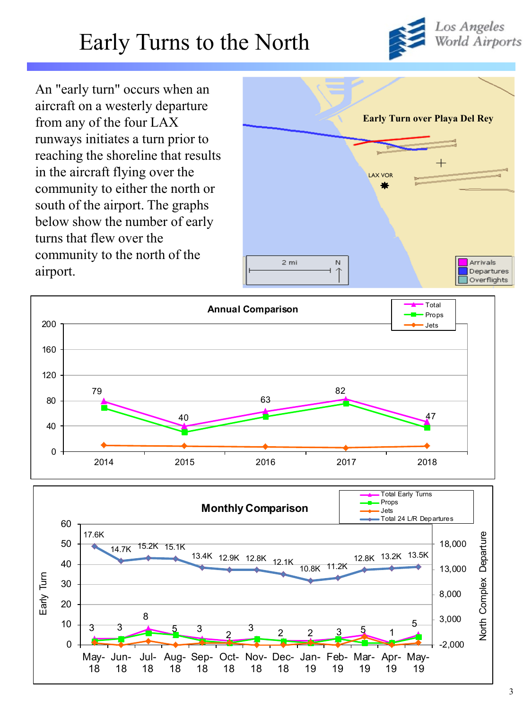Los Angeles<br>World Airports

# Early Turns to the North

An "early turn" occurs when an aircraft on a westerly departure from any of the four LAX runways initiates a turn prior to reaching the shoreline that results in the aircraft flying over the community to either the north or south of the airport. The graphs below show the number of early turns that flew over the community to the north of the airport.





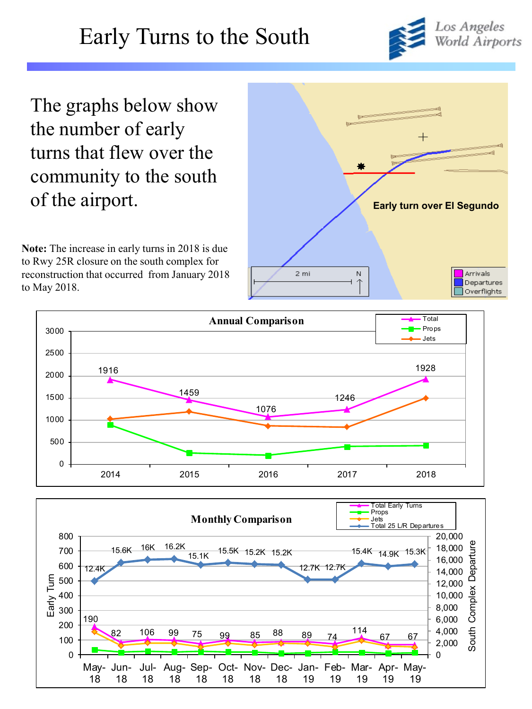# Early Turns to the South



The graphs below show the number of early turns that flew over the community to the south of the airport.

**Note:** The increase in early turns in 2018 is due to Rwy 25R closure on the south complex for reconstruction that occurred from January 2018 to May 2018.





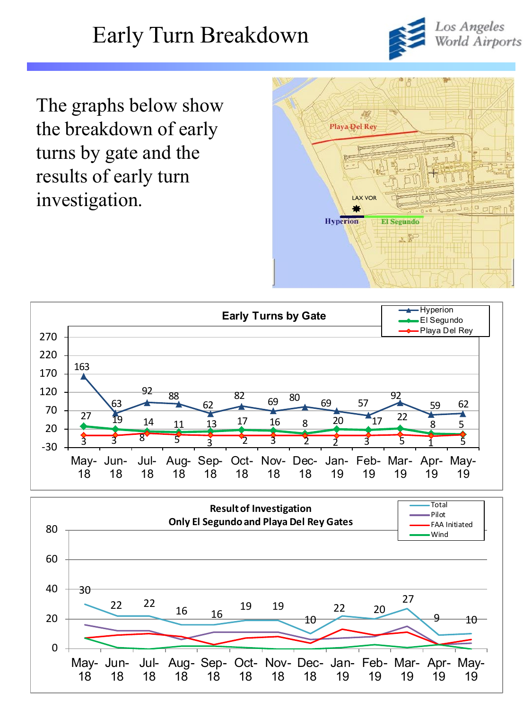# Early Turn Breakdown



The graphs below show the breakdown of early turns by gate and the results of early turn investigation.





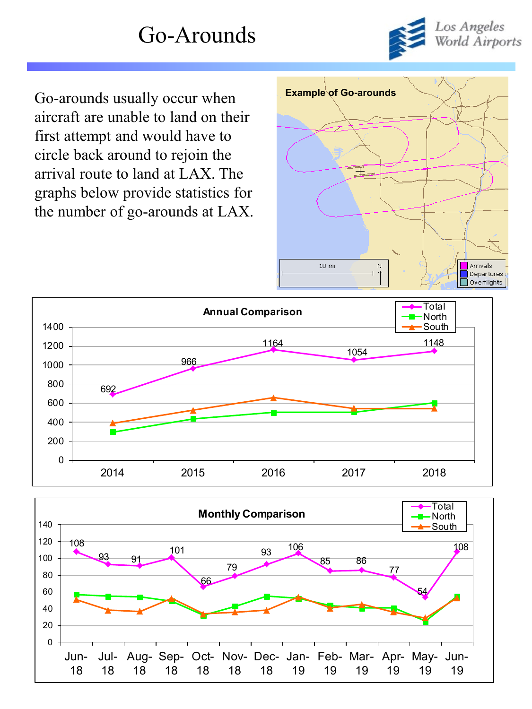## Go-Arounds



Go-arounds usually occur when **Example** of Go-arounds aircraft are unable to land on their first attempt and would have to circle back around to rejoin the arrival route to land at LAX. The graphs below provide statistics for the number of go-arounds at LAX.





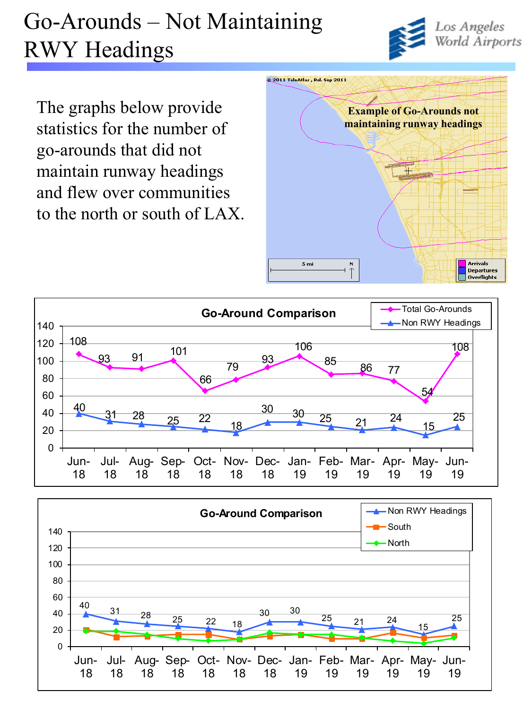# Go-Arounds – Not Maintaining RWY Headings



The graphs below provide statistics for the number of go-arounds that did not maintain runway headings and flew over communities to the north or south of LAX.





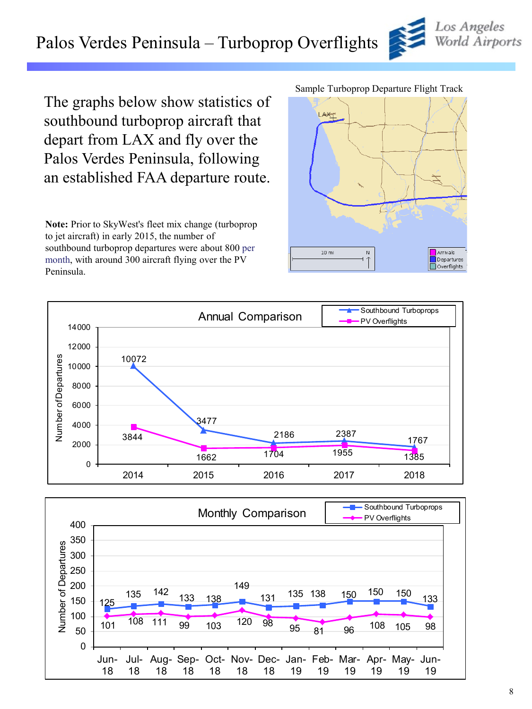### Palos Verdes Peninsula – Turboprop Overflights

The graphs below show statistics of southbound turboprop aircraft that depart from LAX and fly over the Palos Verdes Peninsula, following an established FAA departure route.

**Note:** Prior to SkyWest's fleet mix change (turboprop to jet aircraft) in early 2015, the number of southbound turboprop departures were about 800 per month, with around 300 aircraft flying over the PV Peninsula.

#### Sample Turboprop Departure Flight Track







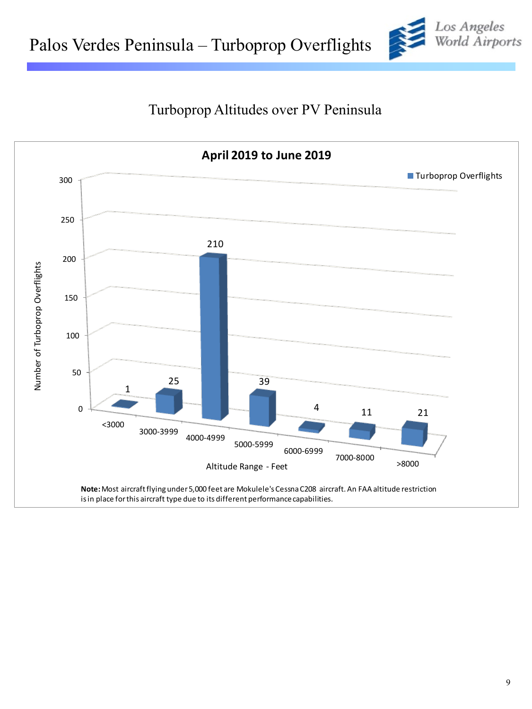

#### Turboprop Altitudes over PV Peninsula

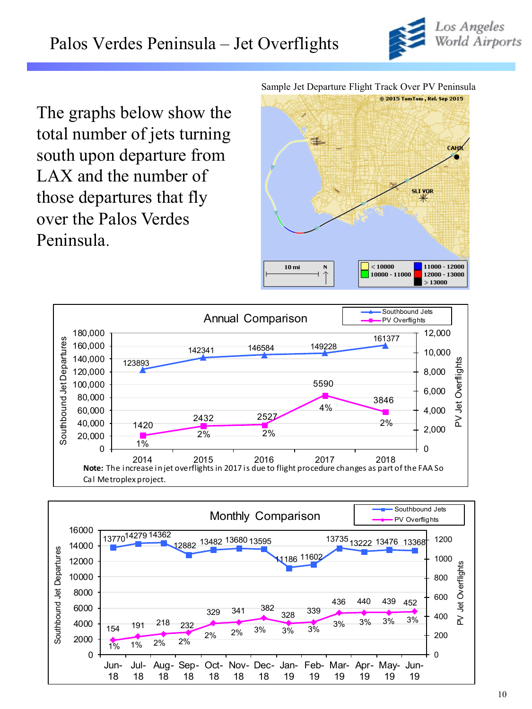

The graphs below show the total number of jets turning south upon departure from LAX and the number of those departures that fly over the Palos Verdes Peninsula.

Sample Jet Departure Flight Track Over PV Peninsula